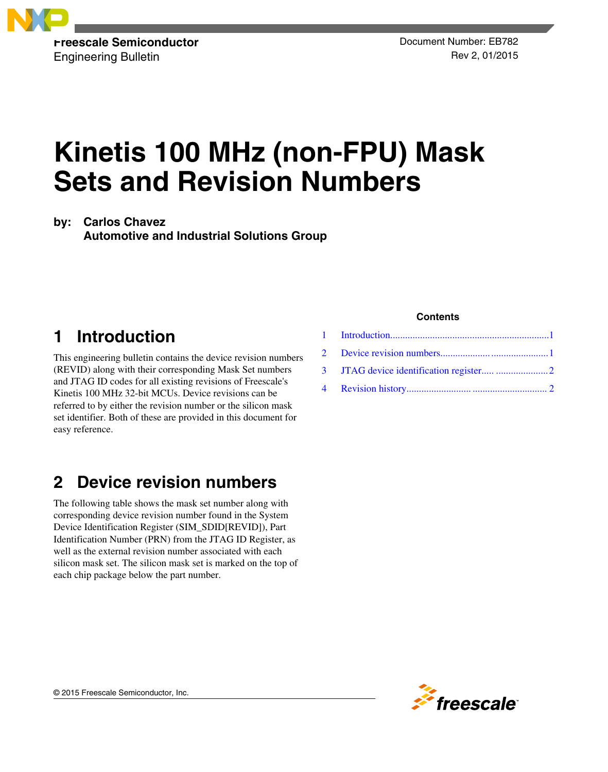

Engineering Bulletin Rev 2, 01/2015

# **Kinetis 100 MHz (non-FPU) Mask Sets and Revision Numbers**

**by: Carlos Chavez**

**Automotive and Industrial Solutions Group**

# **1 Introduction**

This engineering bulletin contains the device revision numbers (REVID) along with their corresponding Mask Set numbers and JTAG ID codes for all existing revisions of Freescale's Kinetis 100 MHz 32-bit MCUs. Device revisions can be referred to by either the revision number or the silicon mask set identifier. Both of these are provided in this document for easy reference.

# **2 Device revision numbers**

The following table shows the mask set number along with corresponding device revision number found in the System Device Identification Register (SIM\_SDID[REVID]), Part Identification Number (PRN) from the JTAG ID Register, as well as the external revision number associated with each silicon mask set. The silicon mask set is marked on the top of each chip package below the part number.

### **Contents**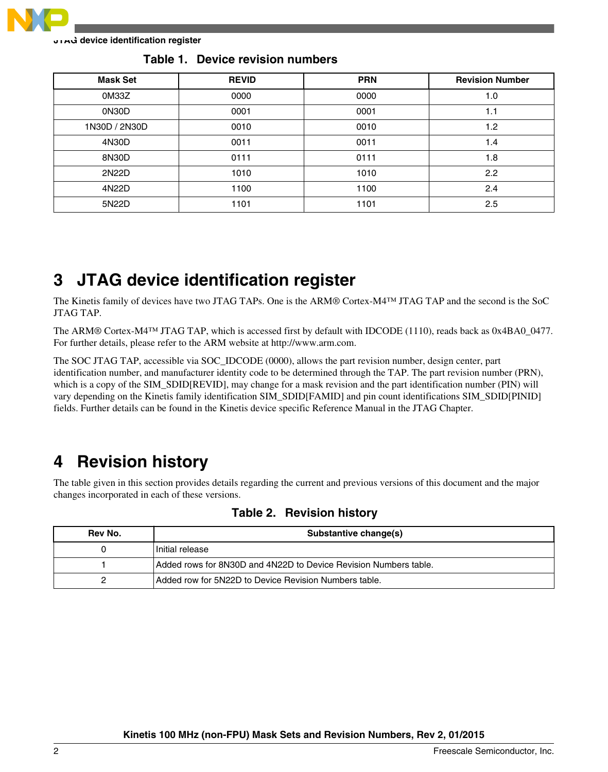<span id="page-1-0"></span>

**JTAG device identification register**

| <b>Mask Set</b> | <b>REVID</b> | <b>PRN</b> | <b>Revision Number</b> |
|-----------------|--------------|------------|------------------------|
| 0M33Z           | 0000         | 0000       | 1.0                    |
| 0N30D           | 0001         | 0001       | 1.1                    |
| 1N30D / 2N30D   | 0010         | 0010       | 1.2                    |
| 4N30D           | 0011         | 0011       | 1.4                    |
| 8N30D           | 0111         | 0111       | 1.8                    |
| 2N22D           | 1010         | 1010       | 2.2                    |
| 4N22D           | 1100         | 1100       | 2.4                    |
| 5N22D           | 1101         | 1101       | 2.5                    |

**Table 1. Device revision numbers**

### **3 JTAG device identification register**

The Kinetis family of devices have two JTAG TAPs. One is the ARM® Cortex-M4™ JTAG TAP and the second is the SoC JTAG TAP.

The ARM® Cortex-M4<sup>TM</sup> JTAG TAP, which is accessed first by default with IDCODE (1110), reads back as 0x4BA0\_0477. For further details, please refer to the ARM website at http://www.arm.com.

The SOC JTAG TAP, accessible via SOC\_IDCODE (0000), allows the part revision number, design center, part identification number, and manufacturer identity code to be determined through the TAP. The part revision number (PRN), which is a copy of the SIM\_SDID[REVID], may change for a mask revision and the part identification number (PIN) will vary depending on the Kinetis family identification SIM\_SDID[FAMID] and pin count identifications SIM\_SDID[PINID] fields. Further details can be found in the Kinetis device specific Reference Manual in the JTAG Chapter.

### **4 Revision history**

The table given in this section provides details regarding the current and previous versions of this document and the major changes incorporated in each of these versions.

| Rev No. | Substantive change(s)                                            |
|---------|------------------------------------------------------------------|
|         | Initial release                                                  |
|         | Added rows for 8N30D and 4N22D to Device Revision Numbers table. |
|         | Added row for 5N22D to Device Revision Numbers table.            |

### **Table 2. Revision history**